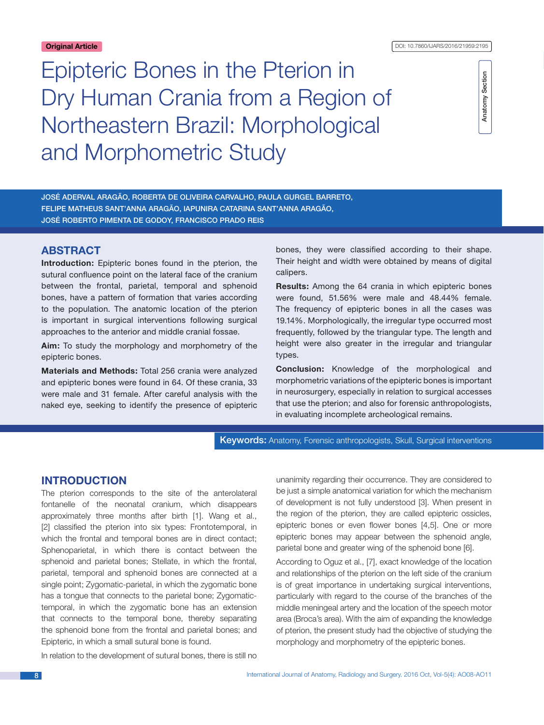**Original Article** DOI: 10.7860/IJARS/2016/21959:2195

# Epipteric Bones in the Pterion in Dry Human Crania from a Region of Northeastern Brazil: Morphological and Morphometric Study

Anatomy Section Anatomy Section

José Aderval Aragão, Roberta de Oliveira Carvalho, Paula Gurgel Barreto, Felipe Matheus Sant'Anna Aragão, Iapunira Catarina Sant'Anna Aragão, José Roberto Pimenta de Godoy, Francisco Prado Reis

# **ABSTRACT**

**Introduction:** Epipteric bones found in the pterion, the sutural confluence point on the lateral face of the cranium between the frontal, parietal, temporal and sphenoid bones, have a pattern of formation that varies according to the population. The anatomic location of the pterion is important in surgical interventions following surgical approaches to the anterior and middle cranial fossae.

**Aim:** To study the morphology and morphometry of the epipteric bones.

**Materials and Methods:** Total 256 crania were analyzed and epipteric bones were found in 64. Of these crania, 33 were male and 31 female. After careful analysis with the naked eye, seeking to identify the presence of epipteric

bones, they were classified according to their shape. Their height and width were obtained by means of digital calipers.

**Results:** Among the 64 crania in which epipteric bones were found, 51.56% were male and 48.44% female. The frequency of epipteric bones in all the cases was 19.14%. Morphologically, the irregular type occurred most frequently, followed by the triangular type. The length and height were also greater in the irregular and triangular types.

**Conclusion:** Knowledge of the morphological and morphometric variations of the epipteric bones is important in neurosurgery, especially in relation to surgical accesses that use the pterion; and also for forensic anthropologists, in evaluating incomplete archeological remains.

Keywords: Anatomy, Forensic anthropologists, Skull, Surgical interventions

# **Introduction**

The pterion corresponds to the site of the anterolateral fontanelle of the neonatal cranium, which disappears approximately three months after birth [1]. Wang et al., [2] classified the pterion into six types: Frontotemporal, in which the frontal and temporal bones are in direct contact; Sphenoparietal, in which there is contact between the sphenoid and parietal bones; Stellate, in which the frontal, parietal, temporal and sphenoid bones are connected at a single point; Zygomatic-parietal, in which the zygomatic bone has a tongue that connects to the parietal bone; Zygomatictemporal, in which the zygomatic bone has an extension that connects to the temporal bone, thereby separating the sphenoid bone from the frontal and parietal bones; and Epipteric, in which a small sutural bone is found.

In relation to the development of sutural bones, there is still no

unanimity regarding their occurrence. They are considered to be just a simple anatomical variation for which the mechanism of development is not fully understood [3]. When present in the region of the pterion, they are called epipteric ossicles, epipteric bones or even flower bones [4,5]. One or more epipteric bones may appear between the sphenoid angle, parietal bone and greater wing of the sphenoid bone [6].

According to Oguz et al., [7], exact knowledge of the location and relationships of the pterion on the left side of the cranium is of great importance in undertaking surgical interventions, particularly with regard to the course of the branches of the middle meningeal artery and the location of the speech motor area (Broca's area). With the aim of expanding the knowledge of pterion, the present study had the objective of studying the morphology and morphometry of the epipteric bones.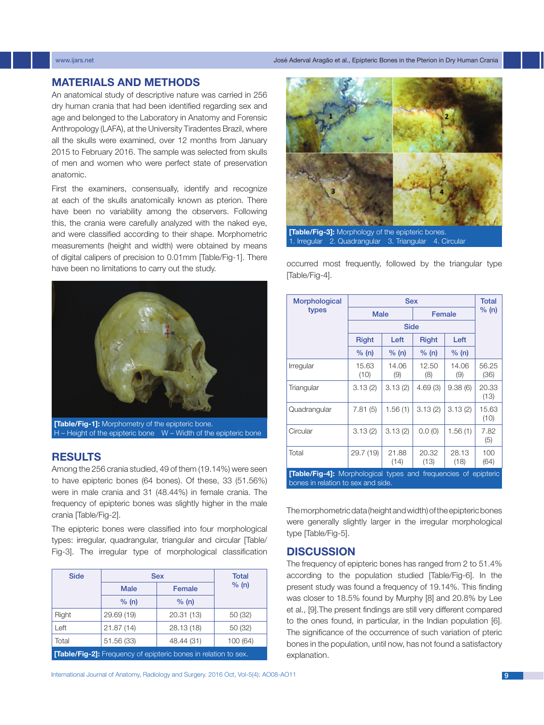### www.ijars.net José Aderval Aragão et al., Epipteric Bones in the Pterion in Dry Human Crania

# **Materials and Methods**

An anatomical study of descriptive nature was carried in 256 dry human crania that had been identified regarding sex and age and belonged to the Laboratory in Anatomy and Forensic Anthropology (LAFA), at the University Tiradentes Brazil, where all the skulls were examined, over 12 months from January 2015 to February 2016. The sample was selected from skulls of men and women who were perfect state of preservation anatomic.

First the examiners, consensually, identify and recognize at each of the skulls anatomically known as pterion. There have been no variability among the observers. Following this, the crania were carefully analyzed with the naked eye, and were classified according to their shape. Morphometric measurements (height and width) were obtained by means of digital calipers of precision to 0.01mm [Table/Fig-1]. There have been no limitations to carry out the study.



**[Table/Fig-1]:** Morphometry of the epipteric bone. H – Height of the epipteric bone W – Width of the epipteric bone

# **Results**

Among the 256 crania studied, 49 of them (19.14%) were seen to have epipteric bones (64 bones). Of these, 33 (51.56%) were in male crania and 31 (48.44%) in female crania. The frequency of epipteric bones was slightly higher in the male crania [Table/Fig-2].

The epipteric bones were classified into four morphological types: irregular, quadrangular, triangular and circular [Table/ Fig-3]. The irregular type of morphological classification

| <b>Side</b>                                                     | <b>Sex</b>  |            | <b>Total</b> |  |
|-----------------------------------------------------------------|-------------|------------|--------------|--|
|                                                                 | <b>Male</b> | Female     | % (n)        |  |
|                                                                 | % (n)       | % (n)      |              |  |
| Right                                                           | 29.69 (19)  | 20.31 (13) | 50 (32)      |  |
| Left                                                            | 21.87(14)   | 28.13 (18) | 50 (32)      |  |
| Total                                                           | 51.56 (33)  | 48.44 (31) | 100(64)      |  |
| [Table/Fig-2]: Frequency of epipteric bones in relation to sex. |             |            |              |  |



**[Table/Fig-3]:** Morphology of the epipteric bones. 1. Irregular 2. Quadrangular 3. Triangular 4. Circular

occurred most frequently, followed by the triangular type [Table/Fig-4].

| Morphological                                                                                                | <b>Sex</b>    |               |               |               | <b>Total</b>  |
|--------------------------------------------------------------------------------------------------------------|---------------|---------------|---------------|---------------|---------------|
| types                                                                                                        | <b>Male</b>   |               |               | Female        | % (n)         |
|                                                                                                              | <b>Side</b>   |               |               |               |               |
|                                                                                                              | <b>Right</b>  | Left          | <b>Right</b>  | Left          |               |
|                                                                                                              | % (n)         | % (n)         | % (n)         | % (n)         |               |
| Irregular                                                                                                    | 15.63<br>(10) | 14.06<br>(9)  | 12.50<br>(8)  | 14.06<br>(9)  | 56.25<br>(36) |
| Triangular                                                                                                   | 3.13(2)       | 3.13(2)       | 4.69(3)       | 9.38(6)       | 20.33<br>(13) |
| Quadrangular                                                                                                 | 7.81(5)       | 1.56(1)       | 3.13(2)       | 3.13(2)       | 15.63<br>(10) |
| Circular                                                                                                     | 3.13(2)       | 3.13(2)       | 0.0(0)        | 1.56(1)       | 7.82<br>(5)   |
| Total                                                                                                        | 29.7 (19)     | 21.88<br>(14) | 20.32<br>(13) | 28.13<br>(18) | 100<br>(64)   |
| <b>[Table/Fig-4]:</b> Morphological types and frequencies of epipteric<br>bones in relation to sex and side. |               |               |               |               |               |

The morphometric data (height and width) of the epipteric bones were generally slightly larger in the irregular morphological type [Table/Fig-5].

# **Discussion**

The frequency of epipteric bones has ranged from 2 to 51.4% according to the population studied [Table/Fig-6]. In the present study was found a frequency of 19.14%. This finding was closer to 18.5% found by Murphy [8] and 20.8% by Lee et al., [9].The present findings are still very different compared to the ones found, in particular, in the Indian population [6]. The significance of the occurrence of such variation of pteric bones in the population, until now, has not found a satisfactory explanation.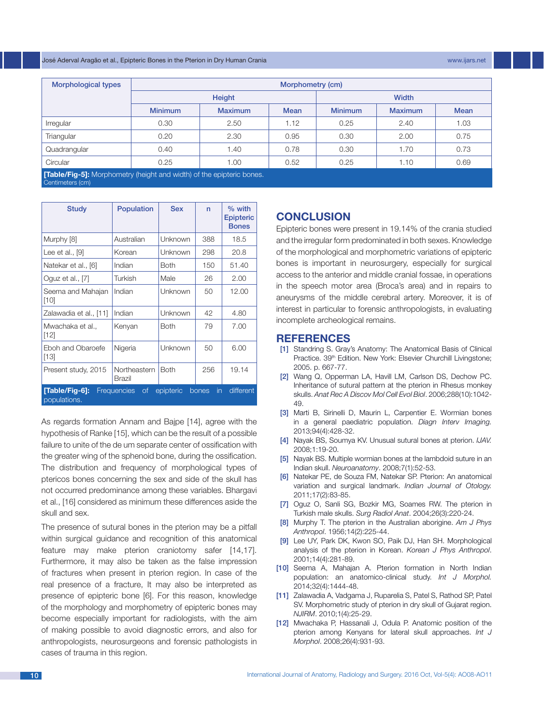#### José Aderval Aragão et al., Epipteric Bones in the Pterion in Dry Human Crania www.ijars.net

| Morphological types                                                                              | Morphometry (cm) |                |              |                |                |             |
|--------------------------------------------------------------------------------------------------|------------------|----------------|--------------|----------------|----------------|-------------|
|                                                                                                  | <b>Height</b>    |                | <b>Width</b> |                |                |             |
|                                                                                                  | <b>Minimum</b>   | <b>Maximum</b> | <b>Mean</b>  | <b>Minimum</b> | <b>Maximum</b> | <b>Mean</b> |
| Irregular                                                                                        | 0.30             | 2.50           | 1.12         | 0.25           | 2.40           | 1.03        |
| Triangular                                                                                       | 0.20             | 2.30           | 0.95         | 0.30           | 2.00           | 0.75        |
| Quadrangular                                                                                     | 0.40             | 1.40           | 0.78         | 0.30           | 1.70           | 0.73        |
| Circular                                                                                         | 0.25             | 1.00           | 0.52         | 0.25           | 1.10           | 0.69        |
| <b>[Table/Fig-5]:</b> Morphometry (height and width) of the epipteric bones.<br>Centimeters (cm) |                  |                |              |                |                |             |

| <b>Study</b>                                                                                                   | <b>Population</b>      | <b>Sex</b>  | n   | $%$ with<br><b>Epipteric</b><br><b>Bones</b> |  |
|----------------------------------------------------------------------------------------------------------------|------------------------|-------------|-----|----------------------------------------------|--|
| Murphy [8]                                                                                                     | Australian             | Unknown     | 388 | 18.5                                         |  |
| Lee et al., $[9]$                                                                                              | Korean                 | Unknown     | 298 | 20.8                                         |  |
| Natekar et al., [6]                                                                                            | Indian                 | <b>Both</b> | 150 | 51.40                                        |  |
| Oguz et al., [7]                                                                                               | Turkish                | Male        | 26  | 2.00                                         |  |
| Seema and Mahajan<br>$[10]$                                                                                    | Indian                 | Unknown     | 50  | 12.00                                        |  |
| Zalawadia et al., [11]                                                                                         | Indian                 | Unknown     | 42  | 4.80                                         |  |
| Mwachaka et al.,<br>[12]                                                                                       | Kenyan                 | <b>Both</b> | 79  | 7.00                                         |  |
| Eboh and Obaroefe<br>[13]                                                                                      | Nigeria                | Unknown     | 50  | 6.00                                         |  |
| Present study, 2015                                                                                            | Northeastern<br>Brazil | <b>Both</b> | 256 | 19.14                                        |  |
| [Table/Fig-6]:<br>different<br><b>Frequencies</b><br>of<br>epipteric<br>$\mathsf{in}$<br>bones<br>populations. |                        |             |     |                                              |  |

As regards formation Annam and Bajpe [14], agree with the hypothesis of Ranke [15], which can be the result of a possible failure to unite of the de um separate center of ossification with the greater wing of the sphenoid bone, during the ossification. The distribution and frequency of morphological types of ptericos bones concerning the sex and side of the skull has not occurred predominance among these variables. Bhargavi et al., [16] considered as minimum these differences aside the skull and sex.

The presence of sutural bones in the pterion may be a pitfall within surgical guidance and recognition of this anatomical feature may make pterion craniotomy safer [14,17]. Furthermore, it may also be taken as the false impression of fractures when present in pterion region. In case of the real presence of a fracture, It may also be interpreted as presence of epipteric bone [6]. For this reason, knowledge of the morphology and morphometry of epipteric bones may become especially important for radiologists, with the aim of making possible to avoid diagnostic errors, and also for anthropologists, neurosurgeons and forensic pathologists in cases of trauma in this region.

# **Conclusion**

Epipteric bones were present in 19.14% of the crania studied and the irregular form predominated in both sexes. Knowledge of the morphological and morphometric variations of epipteric bones is important in neurosurgery, especially for surgical access to the anterior and middle cranial fossae, in operations in the speech motor area (Broca's area) and in repairs to aneurysms of the middle cerebral artery. Moreover, it is of interest in particular to forensic anthropologists, in evaluating incomplete archeological remains.

# **References**

- [1] Standring S. Gray's Anatomy: The Anatomical Basis of Clinical Practice. 39th Edition. New York: Elsevier Churchill Livingstone; 2005. p. 667-77.
- [2] Wang Q, Opperman LA, Havill LM, Carlson DS, Dechow PC. Inheritance of sutural pattern at the pterion in Rhesus monkey skulls. *Anat Rec A Discov Mol Cell Evol Biol*. 2006;288(10):1042- 49.
- [3] Marti B, Sirinelli D, Maurin L, Carpentier E. Wormian bones in a general paediatric population. *Diagn Interv Imaging.* 2013;94(4):428-32.
- [4] Nayak BS, Soumya KV. Unusual sutural bones at pterion. *IJAV.*  2008;1:19-20.
- [5] Nayak BS. Multiple wormian bones at the lambdoid suture in an Indian skull. *Neuroanatomy*. 2008;7(1):52-53.
- [6] Natekar PE, de Souza FM, Natekar SP. Pterion: An anatomical variation and surgical landmark. *Indian Journal of Otology.* 2011;17(2):83-85.
- [7] Oguz O, Sanli SG, Bozkir MG, Soames RW. The pterion in Turkish male skulls. *Surg Radiol Anat*. 2004;26(3):220-24.
- [8] Murphy T. The pterion in the Australian aborigine. *Am J Phys Anthropol*. 1956;14(2):225-44.
- [9] Lee UY, Park DK, Kwon SO, Paik DJ, Han SH. Morphological analysis of the pterion in Korean. *Korean J Phys Anthropol*. 2001;14(4):281-89.
- [10] Seema A, Mahajan A. Pterion formation in North Indian population: an anatomico-clinical study. *Int J Morphol.* 2014;32(4):1444-48.
- [11] Zalawadia A, Vadgama J, Ruparelia S, Patel S, Rathod SP, Patel SV. Morphometric study of pterion in dry skull of Gujarat region. *NJIRM*. 2010;1(4):25-29.
- [12] Mwachaka P, Hassanali J, Odula P. Anatomic position of the pterion among Kenyans for lateral skull approaches. *Int J Morphol*. 2008;26(4):931-93.